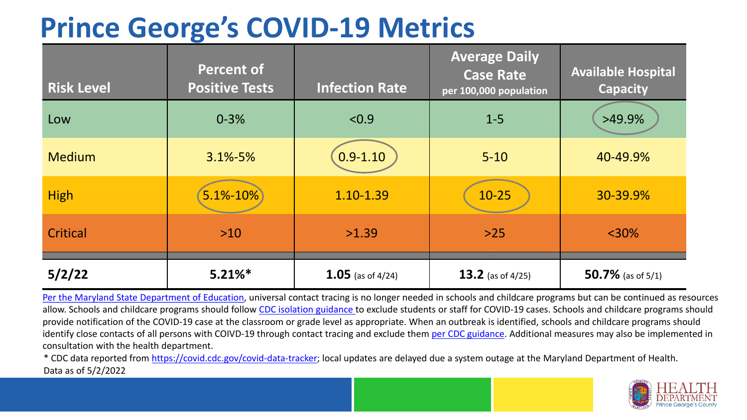## **Prince George's COVID-19 Metrics**

| <b>Risk Level</b> | <b>Percent of</b><br><b>Positive Tests</b> | <b>Infection Rate</b> | <b>Average Daily</b><br><b>Case Rate</b><br>per 100,000 population | <b>Available Hospital</b><br><b>Capacity</b> |
|-------------------|--------------------------------------------|-----------------------|--------------------------------------------------------------------|----------------------------------------------|
| Low               | $0 - 3%$                                   | < 0.9                 | $1 - 5$                                                            | $>49.9\%$                                    |
| <b>Medium</b>     | $3.1\% - 5\%$                              | $0.9 - 1.10$          | $5 - 10$                                                           | 40-49.9%                                     |
| <b>High</b>       | $5.1% - 10%$                               | 1.10-1.39             | $10-25$                                                            | 30-39.9%                                     |
| Critical          | $>10$                                      | >1.39                 | $>25$                                                              | $<$ 30%                                      |
| 5/2/22            | $5.21\%$ *                                 | 1.05 (as of $4/24$ )  | 13.2 (as of $4/25$ )                                               | 50.7% (as of $5/1$ )                         |

[Per the Maryland State Department of Education,](https://earlychildhood.marylandpublicschools.org/system/files/filedepot/3/covid_guidance_full_080420.pdf) universal contact tracing is no longer needed in schools and childcare programs but can be continued as resources allow. Schools and childcare programs should follow [CDC isolation guidance t](https://www.cdc.gov/coronavirus/2019-ncov/community/schools-childcare/k-12-contact-tracing/about-isolation.html)o exclude students or staff for COVID-19 cases. Schools and childcare programs should provide notification of the COVID-19 case at the classroom or grade level as appropriate. When an outbreak is identified, schools and childcare programs should identify close contacts of all persons with COIVD-19 through contact tracing and exclude them [per CDC guidance](https://www.cdc.gov/coronavirus/2019-ncov/your-health/quarantine-isolation.html). Additional measures may also be implemented in consultation with the health department.

\* CDC data reported from [https://covid.cdc.gov/covid-data-tracker;](https://covid.cdc.gov/covid-data-tracker) local updates are delayed due a system outage at the Maryland Department of Health. Data as of 5/2/2022

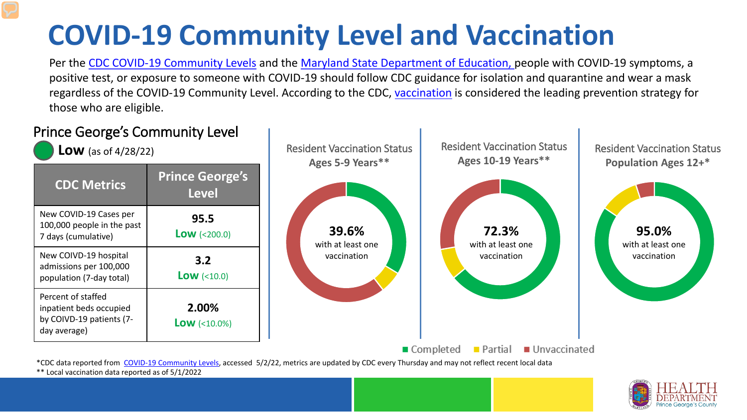# **COVID-19 Community Level and Vaccination**

Per the [CDC COVID-19 Community Levels](https://www.cdc.gov/coronavirus/2019-ncov/science/community-levels.html#anchor_82254) and the [Maryland State Department of Education,](https://earlychildhood.marylandpublicschools.org/system/files/filedepot/3/covid_guidance_full_080420.pdf) people with COVID-19 symptoms, a positive test, or exposure to someone with COVID-19 should follow CDC guidance for isolation and quarantine and wear a mask regardless of the COVID-19 Community Level. According to the CDC, [vaccination](https://www.cdc.gov/coronavirus/2019-ncov/prevent-getting-sick/prevention.html) is considered the leading prevention strategy for those who are eligible.



\*\* Local vaccination data reported as of 5/1/2022

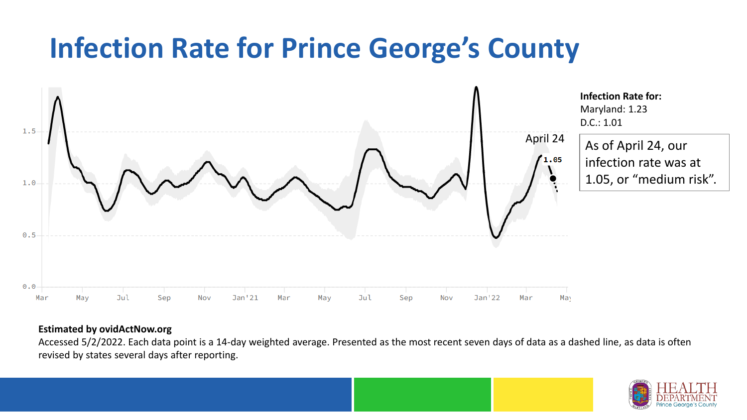### **Infection Rate for Prince George's County**



#### **Estimated by ovidActNow.org**

Accessed 5/2/2022. Each data point is a 14-day weighted average. Presented as the most recent seven days of data as a dashed line, as data is often revised by states several days after reporting.

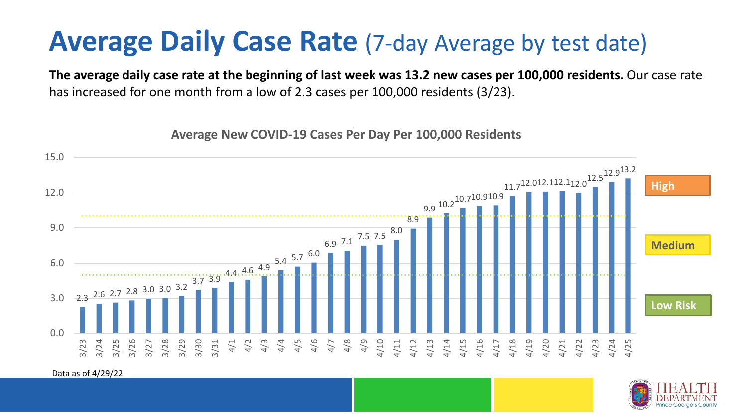### **Average Daily Case Rate** (7-day Average by test date)

**The average daily case rate at the beginning of last week was 13.2 new cases per 100,000 residents.** Our case rate has increased for one month from a low of 2.3 cases per 100,000 residents (3/23).

**Average New COVID-19 Cases Per Day Per 100,000 Residents**